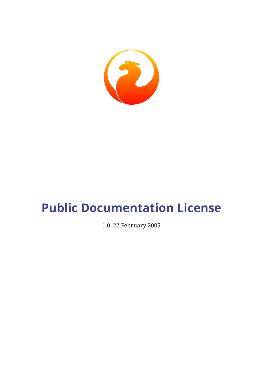

# **Public Documentation License**

1.0, 22 February 2005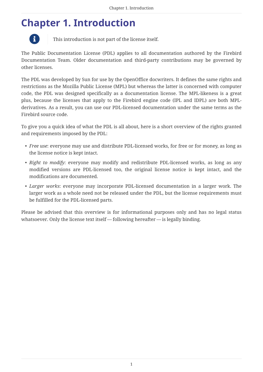### **Chapter 1. Introduction**



 $\mathbf{F}$  This introduction is not part of the license itself.

The Public Documentation License (PDL) applies to all documentation authored by the Firebird Documentation Team. Older documentation and third-party contributions may be governed by other licenses.

The PDL was developed by Sun for use by the OpenOffice docwriters. It defines the same rights and restrictions as the Mozilla Public License (MPL) but whereas the latter is concerned with computer code, the PDL was designed specifically as a documentation license. The MPL-likeness is a great plus, because the licenses that apply to the Firebird engine code (IPL and IDPL) are both MPLderivatives. As a result, you can use our PDL-licensed documentation under the same terms as the Firebird source code.

To give you a quick idea of what the PDL is all about, here is a short overview of the rights granted and requirements imposed by the PDL:

- *Free use*: everyone may use and distribute PDL-licensed works, for free or for money, as long as the license notice is kept intact.
- *Right to modify*: everyone may modify and redistribute PDL-licensed works, as long as any modified versions are PDL-licensed too, the original license notice is kept intact, and the modifications are documented.
- *Larger works*: everyone may incorporate PDL-licensed documentation in a larger work. The larger work as a whole need not be released under the PDL, but the license requirements must be fulfilled for the PDL-licensed parts.

Please be advised that this overview is for informational purposes only and has no legal status whatsoever. Only the license text itself — following hereafter — is legally binding.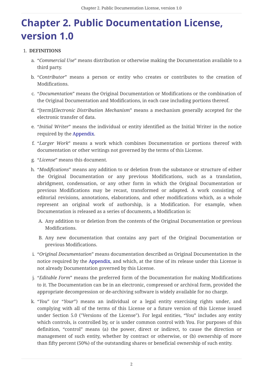## **Chapter 2. Public Documentation License, version 1.0**

#### 1. **DEFINITIONS**

- a. "*Commercial Use*" means distribution or otherwise making the Documentation available to a third party.
- b. "*Contributor*" means a person or entity who creates or contributes to the creation of Modifications.
- c. "*Documentation*" means the Original Documentation or Modifications or the combination of the Original Documentation and Modifications, in each case including portions thereof.
- d. "[term]*Electronic Distribution Mechanism*" means a mechanism generally accepted for the electronic transfer of data.
- e. "*Initial Writer*" means the individual or entity identified as the Initial Writer in the notice required by the [Appendix](#page-6-0).
- f. "*Larger Work*" means a work which combines Documentation or portions thereof with documentation or other writings not governed by the terms of this License.
- g. "*License*" means this document.
- h. "*Modifications*" means any addition to or deletion from the substance or structure of either the Original Documentation or any previous Modifications, such as a translation, abridgment, condensation, or any other form in which the Original Documentation or previous Modifications may be recast, transformed or adapted. A work consisting of editorial revisions, annotations, elaborations, and other modifications which, as a whole represent an original work of authorship, is a Modification. For example, when Documentation is released as a series of documents, a Modification is:
	- A. Any addition to or deletion from the contents of the Original Documentation or previous Modifications.
	- B. Any new documentation that contains any part of the Original Documentation or previous Modifications.
- i. "*Original Documentation*" means documentation described as Original Documentation in the notice required by the [Appendix,](#page-6-0) and which, at the time of its release under this License is not already Documentation governed by this License.
- j. "*Editable Form*" means the preferred form of the Documentation for making Modifications to it. The Documentation can be in an electronic, compressed or archival form, provided the appropriate decompression or de-archiving software is widely available for no charge.
- k. "*You*" (or "*Your*") means an individual or a legal entity exercising rights under, and complying with all of the terms of this License or a future version of this License issued under Section 5.0 ("Versions of the License"). For legal entities, "You" includes any entity which controls, is controlled by, or is under common control with You. For purposes of this definition, "control" means (a) the power, direct or indirect, to cause the direction or management of such entity, whether by contract or otherwise, or (b) ownership of more than fifty percent (50%) of the outstanding shares or beneficial ownership of such entity.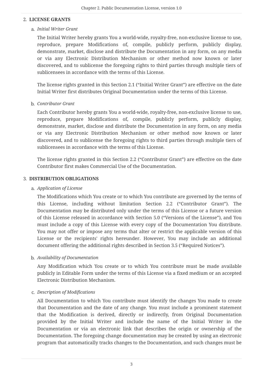#### 2. **LICENSE GRANTS**

#### a. *Initial Writer Grant*

The Initial Writer hereby grants You a world-wide, royalty-free, non-exclusive license to use, reproduce, prepare Modifications of, compile, publicly perform, publicly display, demonstrate, market, disclose and distribute the Documentation in any form, on any media or via any Electronic Distribution Mechanism or other method now known or later discovered, and to sublicense the foregoing rights to third parties through multiple tiers of sublicensees in accordance with the terms of this License.

The license rights granted in this Section 2.1 ("Initial Writer Grant") are effective on the date Initial Writer first distributes Original Documentation under the terms of this License.

#### b. *Contributor Grant*

Each Contributor hereby grants You a world-wide, royalty-free, non-exclusive license to use, reproduce, prepare Modifications of, compile, publicly perform, publicly display, demonstrate, market, disclose and distribute the Documentation in any form, on any media or via any Electronic Distribution Mechanism or other method now known or later discovered, and to sublicense the foregoing rights to third parties through multiple tiers of sublicensees in accordance with the terms of this License.

The license rights granted in this Section 2.2 ("Contributor Grant") are effective on the date Contributor first makes Commercial Use of the Documentation.

#### 3. **DISTRIBUTION OBLIGATIONS**

#### a. *Application of License*

The Modifications which You create or to which You contribute are governed by the terms of this License, including without limitation Section 2.2 ("Contributor Grant"). The Documentation may be distributed only under the terms of this License or a future version of this License released in accordance with Section 5.0 ("Versions of the License"), and You must include a copy of this License with every copy of the Documentation You distribute. You may not offer or impose any terms that alter or restrict the applicable version of this License or the recipients' rights hereunder. However, You may include an additional document offering the additional rights described in Section 3.5 ("Required Notices").

#### b. *Availability of Documentation*

Any Modification which You create or to which You contribute must be made available publicly in Editable Form under the terms of this License via a fixed medium or an accepted Electronic Distribution Mechanism.

#### c. *Description of Modifications*

All Documentation to which You contribute must identify the changes You made to create that Documentation and the date of any change. You must include a prominent statement that the Modification is derived, directly or indirectly, from Original Documentation provided by the Initial Writer and include the name of the Initial Writer in the Documentation or via an electronic link that describes the origin or ownership of the Documentation. The foregoing change documentation may be created by using an electronic program that automatically tracks changes to the Documentation, and such changes must be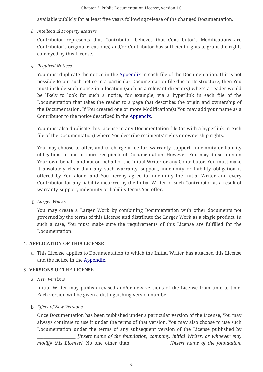available publicly for at least five years following release of the changed Documentation.

d. *Intellectual Property Matters*

Contributor represents that Contributor believes that Contributor's Modifications are Contributor's original creation(s) and/or Contributor has sufficient rights to grant the rights conveyed by this License.

e. *Required Notices*

You must duplicate the notice in the [Appendix](#page-6-0) in each file of the Documentation. If it is not possible to put such notice in a particular Documentation file due to its structure, then You must include such notice in a location (such as a relevant directory) where a reader would be likely to look for such a notice, for example, via a hyperlink in each file of the Documentation that takes the reader to a page that describes the origin and ownership of the Documentation. If You created one or more Modification(s) You may add your name as a Contributor to the notice described in the [Appendix](#page-6-0).

You must also duplicate this License in any Documentation file (or with a hyperlink in each file of the Documentation) where You describe recipients' rights or ownership rights.

You may choose to offer, and to charge a fee for, warranty, support, indemnity or liability obligations to one or more recipients of Documentation. However, You may do so only on Your own behalf, and not on behalf of the Initial Writer or any Contributor. You must make it absolutely clear than any such warranty, support, indemnity or liability obligation is offered by You alone, and You hereby agree to indemnify the Initial Writer and every Contributor for any liability incurred by the Initial Writer or such Contributor as a result of warranty, support, indemnity or liability terms You offer.

f. *Larger Works*

You may create a Larger Work by combining Documentation with other documents not governed by the terms of this License and distribute the Larger Work as a single product. In such a case, You must make sure the requirements of this License are fulfilled for the Documentation.

#### 4. **APPLICATION OF THIS LICENSE**

a. This License applies to Documentation to which the Initial Writer has attached this License and the notice in the [Appendix](#page-6-0).

#### 5. **VERSIONS OF THE LICENSE**

a. *New Versions*

Initial Writer may publish revised and/or new versions of the License from time to time. Each version will be given a distinguishing version number.

b. *Effect of New Versions*

Once Documentation has been published under a particular version of the License, You may always continue to use it under the terms of that version. You may also choose to use such Documentation under the terms of any subsequent version of the License published by

\_\_\_\_\_\_\_\_\_\_\_\_\_\_\_\_\_\_ *[Insert name of the foundation, company, Initial Writer, or whoever may modify this License]*. No one other than \_\_\_\_\_\_\_\_\_\_\_\_\_\_\_\_\_ *[Insert name of the foundation,*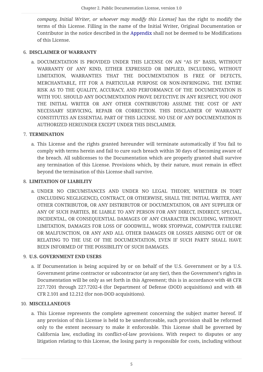*company, Initial Writer, or whoever may modify this License]* has the right to modify the terms of this License. Filling in the name of the Initial Writer, Original Documentation or Contributor in the notice described in the [Appendix](#page-6-0) shall not be deemed to be Modifications of this License.

#### 6. **DISCLAIMER OF WARRANTY**

a. DOCUMENTATION IS PROVIDED UNDER THIS LICENSE ON AN "AS IS" BASIS, WITHOUT WARRANTY OF ANY KIND, EITHER EXPRESSED OR IMPLIED, INCLUDING, WITHOUT LIMITATION, WARRANTIES THAT THE DOCUMENTATION IS FREE OF DEFECTS, MERCHANTABLE, FIT FOR A PARTICULAR PURPOSE OR NON-INFRINGING. THE ENTIRE RISK AS TO THE QUALITY, ACCURACY, AND PERFORMANCE OF THE DOCUMENTATION IS WITH YOU. SHOULD ANY DOCUMENTATION PROVE DEFECTIVE IN ANY RESPECT, YOU (NOT THE INITIAL WRITER OR ANY OTHER CONTRIBUTOR) ASSUME THE COST OF ANY NECESSARY SERVICING, REPAIR OR CORRECTION. THIS DISCLAIMER OF WARRANTY CONSTITUTES AN ESSENTIAL PART OF THIS LICENSE. NO USE OF ANY DOCUMENTATION IS AUTHORIZED HEREUNDER EXCEPT UNDER THIS DISCLAIMER.

#### 7. **TERMINATION**

a. This License and the rights granted hereunder will terminate automatically if You fail to comply with terms herein and fail to cure such breach within 30 days of becoming aware of the breach. All sublicenses to the Documentation which are properly granted shall survive any termination of this License. Provisions which, by their nature, must remain in effect beyond the termination of this License shall survive.

#### 8. **LIMITATION OF LIABILITY**

a. UNDER NO CIRCUMSTANCES AND UNDER NO LEGAL THEORY, WHETHER IN TORT (INCLUDING NEGLIGENCE), CONTRACT, OR OTHERWISE, SHALL THE INITIAL WRITER, ANY OTHER CONTRIBUTOR, OR ANY DISTRIBUTOR OF DOCUMENTATION, OR ANY SUPPLIER OF ANY OF SUCH PARTIES, BE LIABLE TO ANY PERSON FOR ANY DIRECT, INDIRECT, SPECIAL, INCIDENTAL, OR CONSEQUENTIAL DAMAGES OF ANY CHARACTER INCLUDING, WITHOUT LIMITATION, DAMAGES FOR LOSS OF GOODWILL, WORK STOPPAGE, COMPUTER FAILURE OR MALFUNCTION, OR ANY AND ALL OTHER DAMAGES OR LOSSES ARISING OUT OF OR RELATING TO THE USE OF THE DOCUMENTATION, EVEN IF SUCH PARTY SHALL HAVE BEEN INFORMED OF THE POSSIBILITY OF SUCH DAMAGES.

#### 9. **U.S. GOVERNMENT END USERS**

a. If Documentation is being acquired by or on behalf of the U.S. Government or by a U.S. Government prime contractor or subcontractor (at any tier), then the Government's rights in Documentation will be only as set forth in this Agreement; this is in accordance with 48 CFR 227.7201 through 227.7202-4 (for Department of Defense (DOD) acquisitions) and with 48 CFR 2.101 and 12.212 (for non-DOD acquisitions).

#### 10. **MISCELLANEOUS**

a. This License represents the complete agreement concerning the subject matter hereof. If any provision of this License is held to be unenforceable, such provision shall be reformed only to the extent necessary to make it enforceable. This License shall be governed by California law, excluding its conflict-of-law provisions. With respect to disputes or any litigation relating to this License, the losing party is responsible for costs, including without